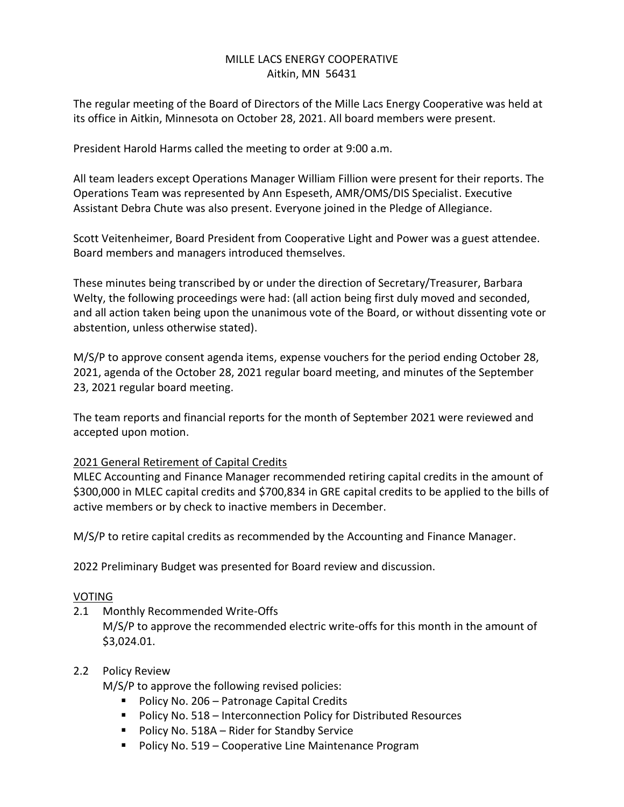# MILLE LACS ENERGY COOPERATIVE Aitkin, MN 56431

The regular meeting of the Board of Directors of the Mille Lacs Energy Cooperative was held at its office in Aitkin, Minnesota on October 28, 2021. All board members were present.

President Harold Harms called the meeting to order at 9:00 a.m.

All team leaders except Operations Manager William Fillion were present for their reports. The Operations Team was represented by Ann Espeseth, AMR/OMS/DIS Specialist. Executive Assistant Debra Chute was also present. Everyone joined in the Pledge of Allegiance.

Scott Veitenheimer, Board President from Cooperative Light and Power was a guest attendee. Board members and managers introduced themselves.

These minutes being transcribed by or under the direction of Secretary/Treasurer, Barbara Welty, the following proceedings were had: (all action being first duly moved and seconded, and all action taken being upon the unanimous vote of the Board, or without dissenting vote or abstention, unless otherwise stated).

M/S/P to approve consent agenda items, expense vouchers for the period ending October 28, 2021, agenda of the October 28, 2021 regular board meeting, and minutes of the September 23, 2021 regular board meeting.

The team reports and financial reports for the month of September 2021 were reviewed and accepted upon motion.

# 2021 General Retirement of Capital Credits

MLEC Accounting and Finance Manager recommended retiring capital credits in the amount of \$300,000 in MLEC capital credits and \$700,834 in GRE capital credits to be applied to the bills of active members or by check to inactive members in December.

M/S/P to retire capital credits as recommended by the Accounting and Finance Manager.

2022 Preliminary Budget was presented for Board review and discussion.

#### VOTING

2.1 Monthly Recommended Write-Offs M/S/P to approve the recommended electric write-offs for this month in the amount of \$3,024.01.

#### 2.2 Policy Review

M/S/P to approve the following revised policies:

- Policy No. 206 Patronage Capital Credits
- Policy No. 518 Interconnection Policy for Distributed Resources
- Policy No. 518A Rider for Standby Service
- Policy No. 519 Cooperative Line Maintenance Program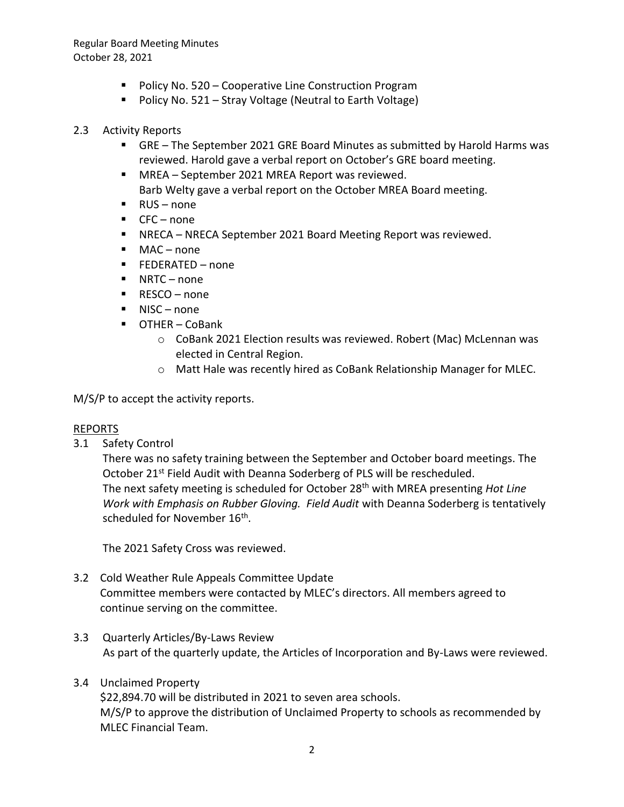Regular Board Meeting Minutes October 28, 2021

- Policy No. 520 Cooperative Line Construction Program
- Policy No. 521 Stray Voltage (Neutral to Earth Voltage)
- 2.3 Activity Reports
	- GRE The September 2021 GRE Board Minutes as submitted by Harold Harms was reviewed. Harold gave a verbal report on October's GRE board meeting.
	- MREA September 2021 MREA Report was reviewed. Barb Welty gave a verbal report on the October MREA Board meeting.
	- RUS none
	- $\text{CFC}-none$
	- NRECA NRECA September 2021 Board Meeting Report was reviewed.
	- MAC none
	- FEDERATED none
	- NRTC none
	- RESCO none
	- NISC none
	- OTHER CoBank
		- o CoBank 2021 Election results was reviewed. Robert (Mac) McLennan was elected in Central Region.
		- o Matt Hale was recently hired as CoBank Relationship Manager for MLEC.

M/S/P to accept the activity reports.

# REPORTS

3.1 Safety Control

There was no safety training between the September and October board meetings. The October 21<sup>st</sup> Field Audit with Deanna Soderberg of PLS will be rescheduled. The next safety meeting is scheduled for October 28 th with MREA presenting *Hot Line Work with Emphasis on Rubber Gloving. Field Audit* with Deanna Soderberg is tentatively scheduled for November 16<sup>th</sup>.

The 2021 Safety Cross was reviewed.

- 3.2 Cold Weather Rule Appeals Committee Update Committee members were contacted by MLEC's directors. All members agreed to continue serving on the committee.
- 3.3 Quarterly Articles/By-Laws Review As part of the quarterly update, the Articles of Incorporation and By-Laws were reviewed.
- 3.4 Unclaimed Property \$22,894.70 will be distributed in 2021 to seven area schools.

M/S/P to approve the distribution of Unclaimed Property to schools as recommended by MLEC Financial Team.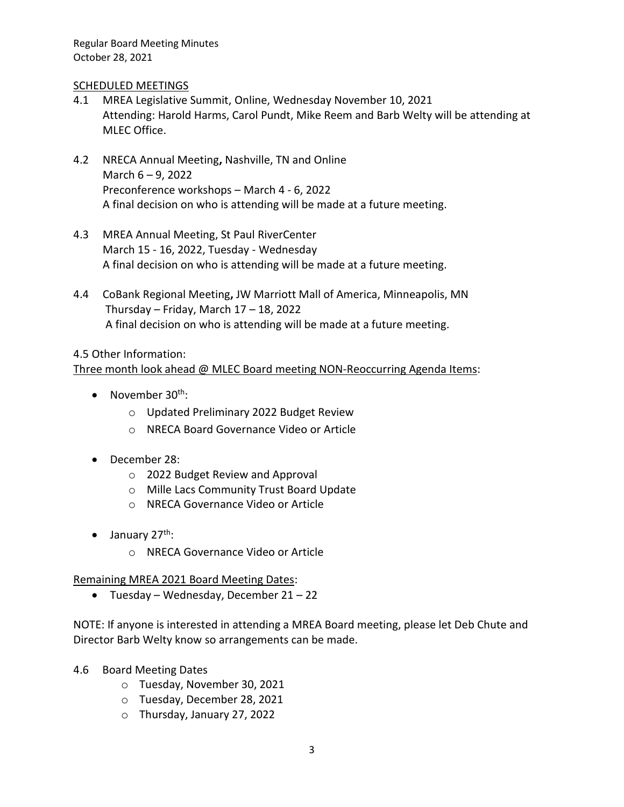Regular Board Meeting Minutes October 28, 2021

#### SCHEDULED MEETINGS

- 4.1 MREA Legislative Summit, Online, Wednesday November 10, 2021 Attending: Harold Harms, Carol Pundt, Mike Reem and Barb Welty will be attending at MLEC Office.
- 4.2 NRECA Annual Meeting**,** Nashville, TN and Online March 6 – 9, 2022 Preconference workshops – March 4 - 6, 2022 A final decision on who is attending will be made at a future meeting.
- 4.3 MREA Annual Meeting, St Paul RiverCenter March 15 - 16, 2022, Tuesday - Wednesday A final decision on who is attending will be made at a future meeting.
- 4.4 CoBank Regional Meeting**,** JW Marriott Mall of America, Minneapolis, MN Thursday – Friday, March  $17 - 18$ , 2022 A final decision on who is attending will be made at a future meeting.

# 4.5 Other Information: Three month look ahead @ MLEC Board meeting NON-Reoccurring Agenda Items:

- November  $30<sup>th</sup>$ :
	- o Updated Preliminary 2022 Budget Review
	- o NRECA Board Governance Video or Article
- December 28:
	- o 2022 Budget Review and Approval
	- o Mille Lacs Community Trust Board Update
	- o NRECA Governance Video or Article
- $\bullet$  January 27<sup>th</sup>:
	- o NRECA Governance Video or Article

# Remaining MREA 2021 Board Meeting Dates:

• Tuesday – Wednesday, December 21 – 22

NOTE: If anyone is interested in attending a MREA Board meeting, please let Deb Chute and Director Barb Welty know so arrangements can be made.

- 4.6 Board Meeting Dates
	- o Tuesday, November 30, 2021
	- o Tuesday, December 28, 2021
	- o Thursday, January 27, 2022